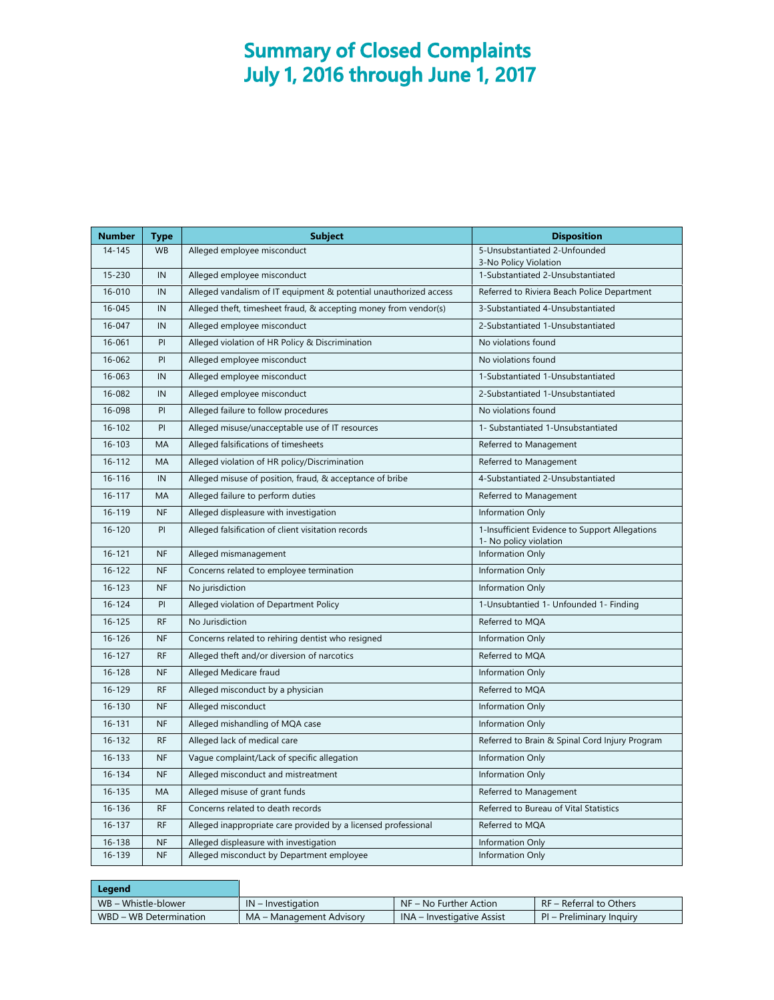## **Summary of Closed Complaints July 1, 2016 through June 1, 2017**

| <b>Number</b> | Type      | <b>Subject</b>                                                    | <b>Disposition</b>                                         |
|---------------|-----------|-------------------------------------------------------------------|------------------------------------------------------------|
| $14 - 145$    | <b>WB</b> | Alleged employee misconduct                                       | 5-Unsubstantiated 2-Unfounded                              |
| 15-230        | IN        | Alleged employee misconduct                                       | 3-No Policy Violation<br>1-Substantiated 2-Unsubstantiated |
| 16-010        | IN        | Alleged vandalism of IT equipment & potential unauthorized access | Referred to Riviera Beach Police Department                |
| 16-045        | IN        | Alleged theft, timesheet fraud, & accepting money from vendor(s)  | 3-Substantiated 4-Unsubstantiated                          |
|               |           |                                                                   |                                                            |
| 16-047        | IN        | Alleged employee misconduct                                       | 2-Substantiated 1-Unsubstantiated                          |
| 16-061        | PI        | Alleged violation of HR Policy & Discrimination                   | No violations found                                        |
| 16-062        | PI        | Alleged employee misconduct                                       | No violations found                                        |
| 16-063        | IN        | Alleged employee misconduct                                       | 1-Substantiated 1-Unsubstantiated                          |
| 16-082        | IN        | Alleged employee misconduct                                       | 2-Substantiated 1-Unsubstantiated                          |
| 16-098        | PI        | Alleged failure to follow procedures                              | No violations found                                        |
| $16 - 102$    | PI        | Alleged misuse/unacceptable use of IT resources                   | 1- Substantiated 1-Unsubstantiated                         |
| $16 - 103$    | MA        | Alleged falsifications of timesheets                              | Referred to Management                                     |
| 16-112        | MA        | Alleged violation of HR policy/Discrimination                     | Referred to Management                                     |
| 16-116        | IN        | Alleged misuse of position, fraud, & acceptance of bribe          | 4-Substantiated 2-Unsubstantiated                          |
| $16 - 117$    | MA        | Alleged failure to perform duties                                 | Referred to Management                                     |
| 16-119        | <b>NF</b> | Alleged displeasure with investigation                            | Information Only                                           |
| $16 - 120$    | PI        | Alleged falsification of client visitation records                | 1-Insufficient Evidence to Support Allegations             |
|               |           |                                                                   | 1- No policy violation                                     |
| 16-121        | <b>NF</b> | Alleged mismanagement                                             | Information Only                                           |
| $16 - 122$    | <b>NF</b> | Concerns related to employee termination                          | Information Only                                           |
| $16 - 123$    | <b>NF</b> | No jurisdiction                                                   | Information Only                                           |
| 16-124        | PI        | Alleged violation of Department Policy                            | 1-Unsubtantied 1- Unfounded 1- Finding                     |
| $16 - 125$    | <b>RF</b> | No Jurisdiction                                                   | Referred to MQA                                            |
| 16-126        | <b>NF</b> | Concerns related to rehiring dentist who resigned                 | Information Only                                           |
| $16 - 127$    | <b>RF</b> | Alleged theft and/or diversion of narcotics                       | Referred to MQA                                            |
| $16 - 128$    | <b>NF</b> | Alleged Medicare fraud                                            | Information Only                                           |
| 16-129        | <b>RF</b> | Alleged misconduct by a physician                                 | Referred to MQA                                            |
| 16-130        | <b>NF</b> | Alleged misconduct                                                | Information Only                                           |
| 16-131        | <b>NF</b> | Alleged mishandling of MQA case                                   | Information Only                                           |
| 16-132        | <b>RF</b> | Alleged lack of medical care                                      | Referred to Brain & Spinal Cord Injury Program             |
| 16-133        | <b>NF</b> | Vague complaint/Lack of specific allegation                       | Information Only                                           |
| 16-134        | <b>NF</b> | Alleged misconduct and mistreatment                               | Information Only                                           |
| 16-135        | MA        | Alleged misuse of grant funds                                     | Referred to Management                                     |
| 16-136        | <b>RF</b> | Concerns related to death records                                 | Referred to Bureau of Vital Statistics                     |
| 16-137        | <b>RF</b> | Alleged inappropriate care provided by a licensed professional    | Referred to MQA                                            |
| 16-138        | <b>NF</b> | Alleged displeasure with investigation                            | Information Only                                           |
| 16-139        | <b>NF</b> | Alleged misconduct by Department employee                         | Information Only                                           |

| $IN$ – Investigation     | $\overline{\phantom{a}}$ NF – No Further Action | RF – Referral to Others  |
|--------------------------|-------------------------------------------------|--------------------------|
| MA – Management Advisory | INA – Investigative Assist                      | PI – Preliminary Inquiry |
|                          |                                                 |                          |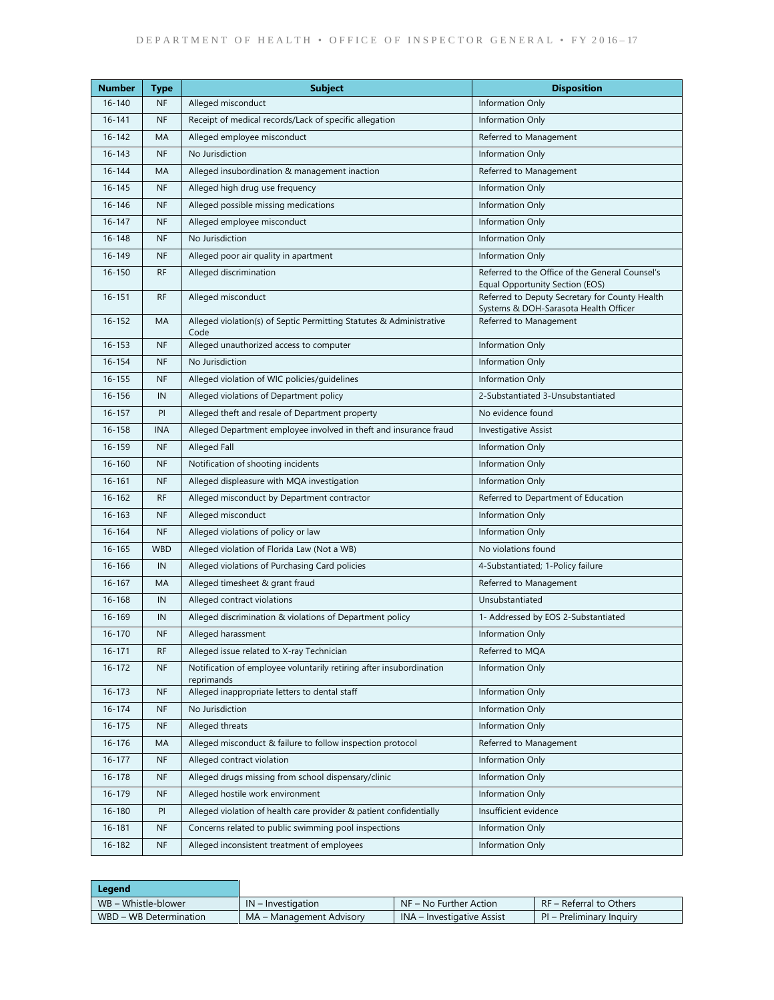| <b>Number</b> | <b>Type</b> | <b>Subject</b>                                                                    | <b>Disposition</b>                                                                      |
|---------------|-------------|-----------------------------------------------------------------------------------|-----------------------------------------------------------------------------------------|
| 16-140        | <b>NF</b>   | Alleged misconduct                                                                | Information Only                                                                        |
| $16 - 141$    | <b>NF</b>   | Receipt of medical records/Lack of specific allegation                            | Information Only                                                                        |
| 16-142        | MA          | Alleged employee misconduct                                                       | Referred to Management                                                                  |
| $16 - 143$    | <b>NF</b>   | No Jurisdiction                                                                   | Information Only                                                                        |
| 16-144        | MA          | Alleged insubordination & management inaction                                     | Referred to Management                                                                  |
| $16 - 145$    | <b>NF</b>   | Alleged high drug use frequency                                                   | Information Only                                                                        |
| 16-146        | <b>NF</b>   | Alleged possible missing medications                                              | Information Only                                                                        |
| $16 - 147$    | <b>NF</b>   | Alleged employee misconduct                                                       | Information Only                                                                        |
| 16-148        | <b>NF</b>   | No Jurisdiction                                                                   | Information Only                                                                        |
| 16-149        | <b>NF</b>   | Alleged poor air quality in apartment                                             | Information Only                                                                        |
| 16-150        | <b>RF</b>   | Alleged discrimination                                                            | Referred to the Office of the General Counsel's<br>Equal Opportunity Section (EOS)      |
| $16 - 151$    | <b>RF</b>   | Alleged misconduct                                                                | Referred to Deputy Secretary for County Health<br>Systems & DOH-Sarasota Health Officer |
| 16-152        | MA          | Alleged violation(s) of Septic Permitting Statutes & Administrative<br>Code       | Referred to Management                                                                  |
| $16 - 153$    | <b>NF</b>   | Alleged unauthorized access to computer                                           | Information Only                                                                        |
| 16-154        | <b>NF</b>   | No Jurisdiction                                                                   | Information Only                                                                        |
| $16 - 155$    | <b>NF</b>   | Alleged violation of WIC policies/guidelines                                      | Information Only                                                                        |
| 16-156        | IN          | Alleged violations of Department policy                                           | 2-Substantiated 3-Unsubstantiated                                                       |
| $16 - 157$    | PI          | Alleged theft and resale of Department property                                   | No evidence found                                                                       |
| 16-158        | <b>INA</b>  | Alleged Department employee involved in theft and insurance fraud                 | <b>Investigative Assist</b>                                                             |
| 16-159        | <b>NF</b>   | <b>Alleged Fall</b>                                                               | Information Only                                                                        |
| 16-160        | <b>NF</b>   | Notification of shooting incidents                                                | Information Only                                                                        |
| 16-161        | <b>NF</b>   | Alleged displeasure with MQA investigation                                        | Information Only                                                                        |
| 16-162        | <b>RF</b>   | Alleged misconduct by Department contractor                                       | Referred to Department of Education                                                     |
| 16-163        | <b>NF</b>   | Alleged misconduct                                                                | Information Only                                                                        |
| 16-164        | <b>NF</b>   | Alleged violations of policy or law                                               | Information Only                                                                        |
| $16 - 165$    | <b>WBD</b>  | Alleged violation of Florida Law (Not a WB)                                       | No violations found                                                                     |
| 16-166        | IN          | Alleged violations of Purchasing Card policies                                    | 4-Substantiated; 1-Policy failure                                                       |
| $16 - 167$    | MA          | Alleged timesheet & grant fraud                                                   | Referred to Management                                                                  |
| 16-168        | IN          | Alleged contract violations                                                       | Unsubstantiated                                                                         |
| 16-169        | IN          | Alleged discrimination & violations of Department policy                          | 1- Addressed by EOS 2-Substantiated                                                     |
| $16 - 170$    | <b>NF</b>   | Alleged harassment                                                                | Information Only                                                                        |
| $16 - 171$    | <b>RF</b>   | Alleged issue related to X-ray Technician                                         | Referred to MQA                                                                         |
| 16-172        | <b>NF</b>   | Notification of employee voluntarily retiring after insubordination<br>reprimands | Information Only                                                                        |
| $16 - 173$    | <b>NF</b>   | Alleged inappropriate letters to dental staff                                     | Information Only                                                                        |
| 16-174        | <b>NF</b>   | No Jurisdiction                                                                   | Information Only                                                                        |
| $16 - 175$    | <b>NF</b>   | Alleged threats                                                                   | Information Only                                                                        |
| 16-176        | MA          | Alleged misconduct & failure to follow inspection protocol                        | Referred to Management                                                                  |
| $16 - 177$    | <b>NF</b>   | Alleged contract violation                                                        | Information Only                                                                        |
| 16-178        | <b>NF</b>   | Alleged drugs missing from school dispensary/clinic                               | Information Only                                                                        |
| 16-179        | <b>NF</b>   | Alleged hostile work environment                                                  | Information Only                                                                        |
| 16-180        | PI          | Alleged violation of health care provider & patient confidentially                | Insufficient evidence                                                                   |
| 16-181        | <b>NF</b>   | Concerns related to public swimming pool inspections                              | Information Only                                                                        |
| 16-182        | <b>NF</b>   | Alleged inconsistent treatment of employees                                       | Information Only                                                                        |

| Legend                 |                          |                            |                          |
|------------------------|--------------------------|----------------------------|--------------------------|
| WB – Whistle-blower    | $IN$ – Investigation     | $NF - No Further Action$   | RF – Referral to Others  |
| WBD - WB Determination | MA – Management Advisory | INA – Investigative Assist | PI – Preliminary Inquiry |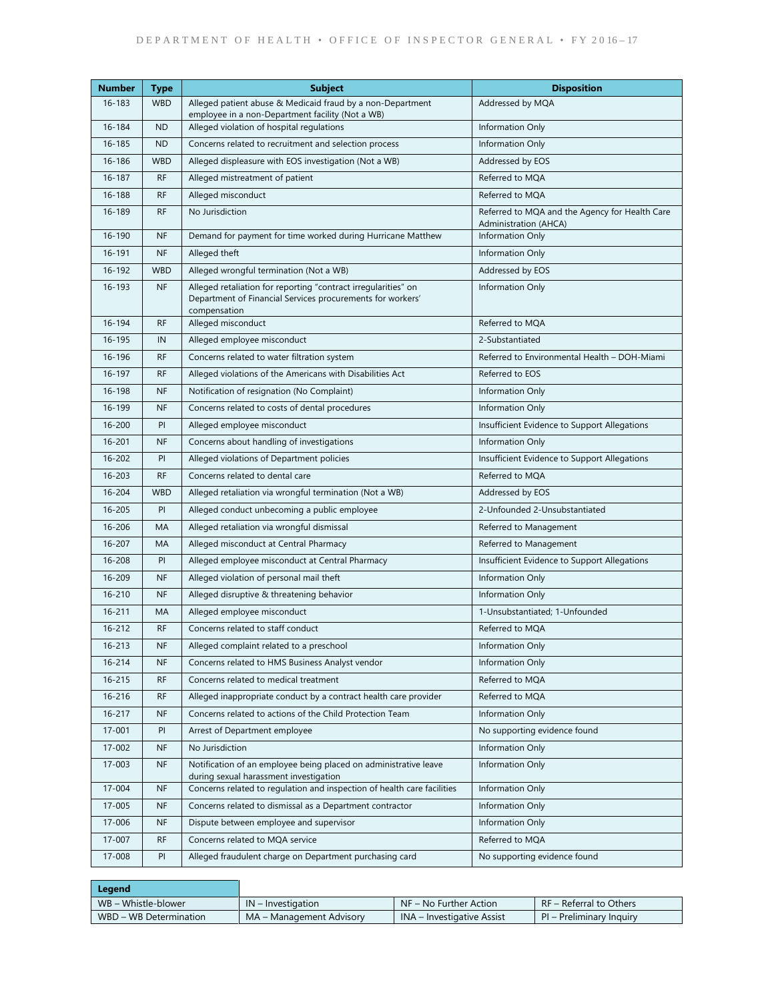| <b>Number</b> | <b>Type</b> | <b>Subject</b>                                                                                                                               | <b>Disposition</b>                                                             |
|---------------|-------------|----------------------------------------------------------------------------------------------------------------------------------------------|--------------------------------------------------------------------------------|
| $16 - 183$    | <b>WBD</b>  | Alleged patient abuse & Medicaid fraud by a non-Department<br>employee in a non-Department facility (Not a WB)                               | Addressed by MQA                                                               |
| 16-184        | <b>ND</b>   | Alleged violation of hospital regulations                                                                                                    | Information Only                                                               |
| 16-185        | <b>ND</b>   | Concerns related to recruitment and selection process                                                                                        | Information Only                                                               |
| 16-186        | <b>WBD</b>  | Alleged displeasure with EOS investigation (Not a WB)                                                                                        | Addressed by EOS                                                               |
| 16-187        | <b>RF</b>   | Alleged mistreatment of patient                                                                                                              | Referred to MQA                                                                |
| 16-188        | <b>RF</b>   | Alleged misconduct                                                                                                                           | Referred to MQA                                                                |
| 16-189        | <b>RF</b>   | No Jurisdiction                                                                                                                              | Referred to MQA and the Agency for Health Care<br><b>Administration (AHCA)</b> |
| 16-190        | <b>NF</b>   | Demand for payment for time worked during Hurricane Matthew                                                                                  | Information Only                                                               |
| 16-191        | <b>NF</b>   | Alleged theft                                                                                                                                | Information Only                                                               |
| 16-192        | <b>WBD</b>  | Alleged wrongful termination (Not a WB)                                                                                                      | Addressed by EOS                                                               |
| 16-193        | <b>NF</b>   | Alleged retaliation for reporting "contract irregularities" on<br>Department of Financial Services procurements for workers'<br>compensation | Information Only                                                               |
| 16-194        | <b>RF</b>   | Alleged misconduct                                                                                                                           | Referred to MQA                                                                |
| 16-195        | IN          | Alleged employee misconduct                                                                                                                  | 2-Substantiated                                                                |
| 16-196        | <b>RF</b>   | Concerns related to water filtration system                                                                                                  | Referred to Environmental Health - DOH-Miami                                   |
| 16-197        | <b>RF</b>   | Alleged violations of the Americans with Disabilities Act                                                                                    | Referred to EOS                                                                |
| 16-198        | <b>NF</b>   | Notification of resignation (No Complaint)                                                                                                   | Information Only                                                               |
| 16-199        | <b>NF</b>   | Concerns related to costs of dental procedures                                                                                               | Information Only                                                               |
| 16-200        | PI          | Alleged employee misconduct                                                                                                                  | Insufficient Evidence to Support Allegations                                   |
| 16-201        | NF          | Concerns about handling of investigations                                                                                                    | Information Only                                                               |
| 16-202        | PI          | Alleged violations of Department policies                                                                                                    | Insufficient Evidence to Support Allegations                                   |
| 16-203        | <b>RF</b>   | Concerns related to dental care                                                                                                              | Referred to MQA                                                                |
| 16-204        | <b>WBD</b>  | Alleged retaliation via wrongful termination (Not a WB)                                                                                      | Addressed by EOS                                                               |
| 16-205        | PI          | Alleged conduct unbecoming a public employee                                                                                                 | 2-Unfounded 2-Unsubstantiated                                                  |
| 16-206        | MA          | Alleged retaliation via wrongful dismissal                                                                                                   | Referred to Management                                                         |
| 16-207        | MA          | Alleged misconduct at Central Pharmacy                                                                                                       | Referred to Management                                                         |
| 16-208        | PI          | Alleged employee misconduct at Central Pharmacy                                                                                              | Insufficient Evidence to Support Allegations                                   |
| 16-209        | <b>NF</b>   | Alleged violation of personal mail theft                                                                                                     | Information Only                                                               |
| $16 - 210$    | <b>NF</b>   | Alleged disruptive & threatening behavior                                                                                                    | Information Only                                                               |
| $16 - 211$    | MA          | Alleged employee misconduct                                                                                                                  | 1-Unsubstantiated; 1-Unfounded                                                 |
| 16-212        | <b>RF</b>   | Concerns related to staff conduct                                                                                                            | Referred to MQA                                                                |
| 16-213        | <b>NF</b>   | Alleged complaint related to a preschool                                                                                                     | Information Only                                                               |
| 16-214        | <b>NF</b>   | Concerns related to HMS Business Analyst vendor                                                                                              | Information Only                                                               |
| 16-215        | <b>RF</b>   | Concerns related to medical treatment                                                                                                        | Referred to MQA                                                                |
| 16-216        | <b>RF</b>   | Alleged inappropriate conduct by a contract health care provider                                                                             | Referred to MQA                                                                |
| 16-217        | NF          | Concerns related to actions of the Child Protection Team                                                                                     | Information Only                                                               |
| 17-001        | PI          | Arrest of Department employee                                                                                                                | No supporting evidence found                                                   |
| 17-002        | NF          | No Jurisdiction                                                                                                                              | Information Only                                                               |
| 17-003        | NF          | Notification of an employee being placed on administrative leave<br>during sexual harassment investigation                                   | Information Only                                                               |
| 17-004        | <b>NF</b>   | Concerns related to regulation and inspection of health care facilities                                                                      | Information Only                                                               |
| 17-005        | <b>NF</b>   | Concerns related to dismissal as a Department contractor                                                                                     | Information Only                                                               |
| 17-006        | <b>NF</b>   | Dispute between employee and supervisor                                                                                                      | Information Only                                                               |
| 17-007        | <b>RF</b>   | Concerns related to MQA service                                                                                                              | Referred to MQA                                                                |
| 17-008        | PI          | Alleged fraudulent charge on Department purchasing card                                                                                      | No supporting evidence found                                                   |

| Legend                 |                          |                                   |                          |
|------------------------|--------------------------|-----------------------------------|--------------------------|
| WB – Whistle-blower    | $IN$ – Investigation     | NF – No Further Action            | RF – Referral to Others  |
| WBD - WB Determination | MA – Management Advisory | <b>INA</b> – Investigative Assist | PI – Preliminary Inquiry |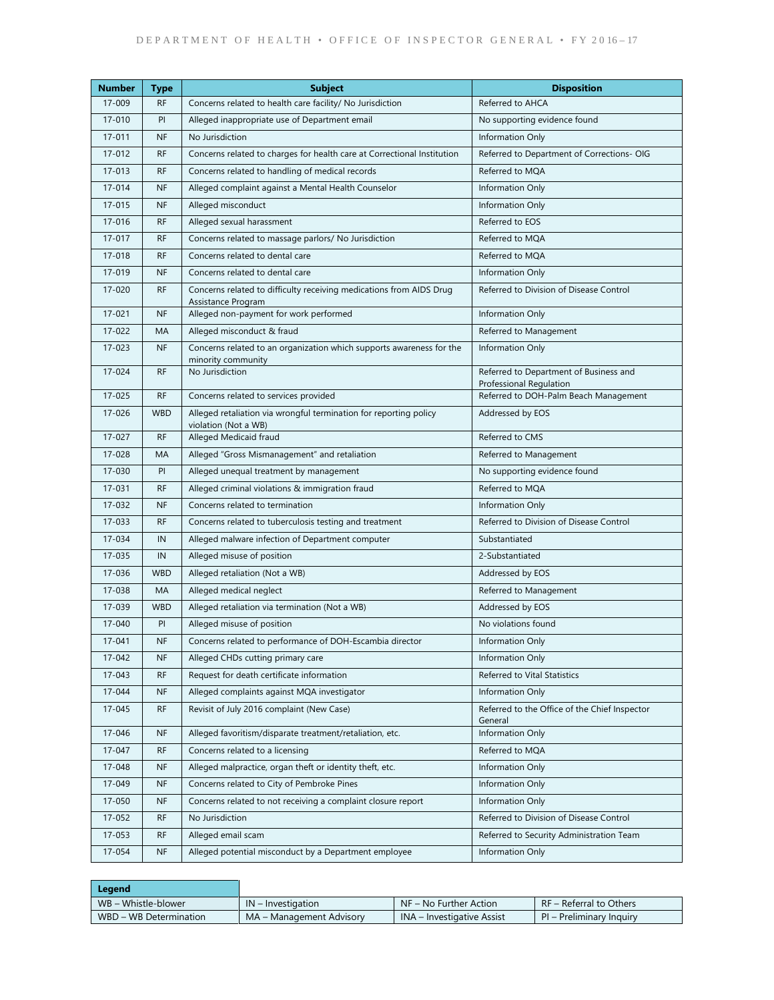| <b>Number</b> | <b>Type</b> | <b>Subject</b>                                                                             | <b>Disposition</b>                                                |
|---------------|-------------|--------------------------------------------------------------------------------------------|-------------------------------------------------------------------|
| 17-009        | <b>RF</b>   | Concerns related to health care facility/ No Jurisdiction                                  | Referred to AHCA                                                  |
| 17-010        | PI          | Alleged inappropriate use of Department email                                              | No supporting evidence found                                      |
| 17-011        | <b>NF</b>   | No Jurisdiction                                                                            | Information Only                                                  |
| 17-012        | <b>RF</b>   | Concerns related to charges for health care at Correctional Institution                    | Referred to Department of Corrections- OIG                        |
| 17-013        | <b>RF</b>   | Concerns related to handling of medical records                                            | Referred to MQA                                                   |
| 17-014        | <b>NF</b>   | Alleged complaint against a Mental Health Counselor                                        | Information Only                                                  |
| 17-015        | <b>NF</b>   | Alleged misconduct                                                                         | Information Only                                                  |
| 17-016        | <b>RF</b>   | Alleged sexual harassment                                                                  | Referred to EOS                                                   |
| $17 - 017$    | <b>RF</b>   | Concerns related to massage parlors/ No Jurisdiction                                       | Referred to MQA                                                   |
| 17-018        | <b>RF</b>   | Concerns related to dental care                                                            | Referred to MQA                                                   |
| 17-019        | <b>NF</b>   | Concerns related to dental care                                                            | Information Only                                                  |
| 17-020        | <b>RF</b>   | Concerns related to difficulty receiving medications from AIDS Drug<br>Assistance Program  | Referred to Division of Disease Control                           |
| 17-021        | <b>NF</b>   | Alleged non-payment for work performed                                                     | Information Only                                                  |
| 17-022        | MA          | Alleged misconduct & fraud                                                                 | Referred to Management                                            |
| 17-023        | <b>NF</b>   | Concerns related to an organization which supports awareness for the<br>minority community | Information Only                                                  |
| 17-024        | <b>RF</b>   | No Jurisdiction                                                                            | Referred to Department of Business and<br>Professional Regulation |
| 17-025        | <b>RF</b>   | Concerns related to services provided                                                      | Referred to DOH-Palm Beach Management                             |
| 17-026        | <b>WBD</b>  | Alleged retaliation via wrongful termination for reporting policy<br>violation (Not a WB)  | Addressed by EOS                                                  |
| 17-027        | <b>RF</b>   | Alleged Medicaid fraud                                                                     | Referred to CMS                                                   |
| 17-028        | MA          | Alleged "Gross Mismanagement" and retaliation                                              | Referred to Management                                            |
| 17-030        | PI          | Alleged unequal treatment by management                                                    | No supporting evidence found                                      |
| 17-031        | <b>RF</b>   | Alleged criminal violations & immigration fraud                                            | Referred to MQA                                                   |
| 17-032        | <b>NF</b>   | Concerns related to termination                                                            | Information Only                                                  |
| 17-033        | <b>RF</b>   | Concerns related to tuberculosis testing and treatment                                     | Referred to Division of Disease Control                           |
| 17-034        | IN          | Alleged malware infection of Department computer                                           | Substantiated                                                     |
| 17-035        | IN          | Alleged misuse of position                                                                 | 2-Substantiated                                                   |
| 17-036        | <b>WBD</b>  | Alleged retaliation (Not a WB)                                                             | Addressed by EOS                                                  |
| 17-038        | MA          | Alleged medical neglect                                                                    | Referred to Management                                            |
| 17-039        | <b>WBD</b>  | Alleged retaliation via termination (Not a WB)                                             | Addressed by EOS                                                  |
| 17-040        | PI          | Alleged misuse of position                                                                 | No violations found                                               |
| 17-041        | <b>NF</b>   | Concerns related to performance of DOH-Escambia director                                   | Information Only                                                  |
| 17-042        | NF.         | Alleged CHDs cutting primary care                                                          | Information Only                                                  |
| 17-043        | <b>RF</b>   | Request for death certificate information                                                  | Referred to Vital Statistics                                      |
| 17-044        | <b>NF</b>   | Alleged complaints against MQA investigator                                                | Information Only                                                  |
| 17-045        | <b>RF</b>   | Revisit of July 2016 complaint (New Case)                                                  | Referred to the Office of the Chief Inspector<br>General          |
| 17-046        | <b>NF</b>   | Alleged favoritism/disparate treatment/retaliation, etc.                                   | Information Only                                                  |
| 17-047        | <b>RF</b>   | Concerns related to a licensing                                                            | Referred to MQA                                                   |
| 17-048        | <b>NF</b>   | Alleged malpractice, organ theft or identity theft, etc.                                   | Information Only                                                  |
| 17-049        | <b>NF</b>   | Concerns related to City of Pembroke Pines                                                 | Information Only                                                  |
| 17-050        | <b>NF</b>   | Concerns related to not receiving a complaint closure report                               | Information Only                                                  |
| 17-052        | <b>RF</b>   | No Jurisdiction                                                                            | Referred to Division of Disease Control                           |
| 17-053        | <b>RF</b>   | Alleged email scam                                                                         | Referred to Security Administration Team                          |
| 17-054        | <b>NF</b>   | Alleged potential misconduct by a Department employee                                      | Information Only                                                  |

| Legend                 |                          |                            |                          |
|------------------------|--------------------------|----------------------------|--------------------------|
| WB – Whistle-blower    | $IN$ – Investigation     | $NF - No$ Further Action   | RF – Referral to Others  |
| WBD - WB Determination | MA – Management Advisory | INA – Investigative Assist | PI – Preliminary Inquiry |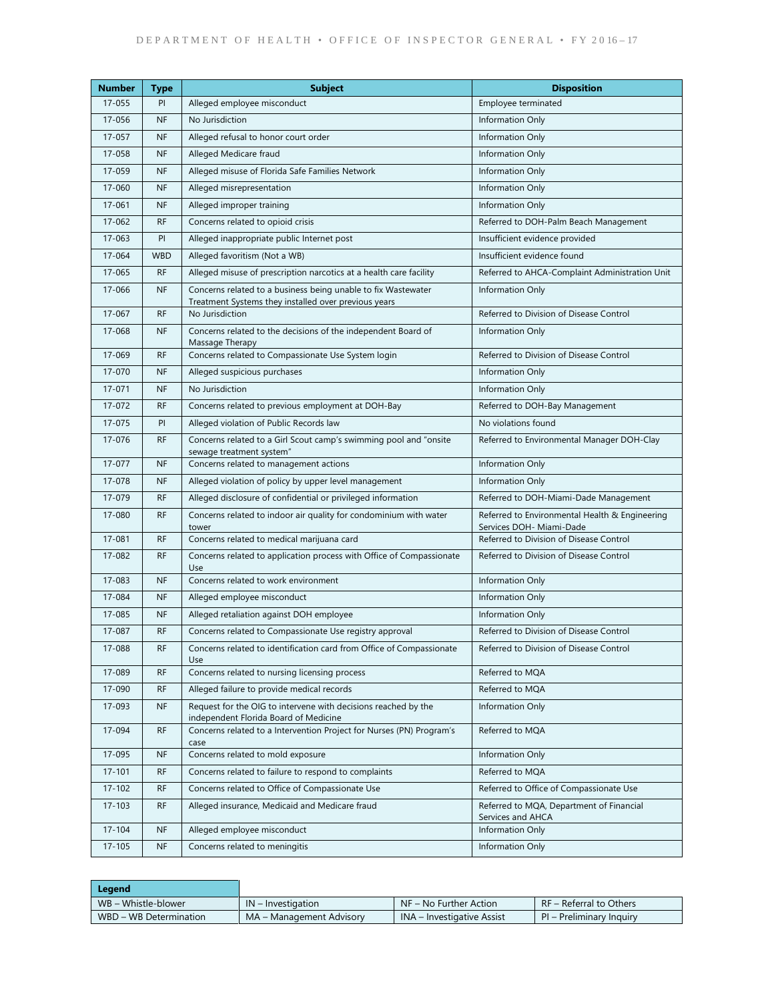| <b>Number</b> | <b>Type</b> | <b>Subject</b>                                                                                                        | <b>Disposition</b>                                                         |
|---------------|-------------|-----------------------------------------------------------------------------------------------------------------------|----------------------------------------------------------------------------|
| 17-055        | PI          | Alleged employee misconduct                                                                                           | Employee terminated                                                        |
| 17-056        | <b>NF</b>   | No Jurisdiction                                                                                                       | Information Only                                                           |
| 17-057        | <b>NF</b>   | Alleged refusal to honor court order                                                                                  | Information Only                                                           |
| 17-058        | <b>NF</b>   | Alleged Medicare fraud                                                                                                | Information Only                                                           |
| 17-059        | <b>NF</b>   | Alleged misuse of Florida Safe Families Network                                                                       | Information Only                                                           |
| 17-060        | <b>NF</b>   | Alleged misrepresentation                                                                                             | Information Only                                                           |
| 17-061        | <b>NF</b>   | Alleged improper training                                                                                             | Information Only                                                           |
| 17-062        | <b>RF</b>   | Concerns related to opioid crisis                                                                                     | Referred to DOH-Palm Beach Management                                      |
| 17-063        | PI          | Alleged inappropriate public Internet post                                                                            | Insufficient evidence provided                                             |
| 17-064        | <b>WBD</b>  | Alleged favoritism (Not a WB)                                                                                         | Insufficient evidence found                                                |
| 17-065        | <b>RF</b>   | Alleged misuse of prescription narcotics at a health care facility                                                    | Referred to AHCA-Complaint Administration Unit                             |
| 17-066        | <b>NF</b>   | Concerns related to a business being unable to fix Wastewater<br>Treatment Systems they installed over previous years | Information Only                                                           |
| 17-067        | <b>RF</b>   | No Jurisdiction                                                                                                       | Referred to Division of Disease Control                                    |
| 17-068        | <b>NF</b>   | Concerns related to the decisions of the independent Board of<br>Massage Therapy                                      | Information Only                                                           |
| 17-069        | <b>RF</b>   | Concerns related to Compassionate Use System login                                                                    | Referred to Division of Disease Control                                    |
| 17-070        | <b>NF</b>   | Alleged suspicious purchases                                                                                          | Information Only                                                           |
| 17-071        | <b>NF</b>   | No Jurisdiction                                                                                                       | Information Only                                                           |
| 17-072        | <b>RF</b>   | Concerns related to previous employment at DOH-Bay                                                                    | Referred to DOH-Bay Management                                             |
| 17-075        | PI          | Alleged violation of Public Records law                                                                               | No violations found                                                        |
| 17-076        | <b>RF</b>   | Concerns related to a Girl Scout camp's swimming pool and "onsite<br>sewage treatment system"                         | Referred to Environmental Manager DOH-Clay                                 |
| 17-077        | <b>NF</b>   | Concerns related to management actions                                                                                | Information Only                                                           |
| 17-078        | <b>NF</b>   | Alleged violation of policy by upper level management                                                                 | Information Only                                                           |
| 17-079        | <b>RF</b>   | Alleged disclosure of confidential or privileged information                                                          | Referred to DOH-Miami-Dade Management                                      |
| 17-080        | <b>RF</b>   | Concerns related to indoor air quality for condominium with water<br>tower                                            | Referred to Environmental Health & Engineering<br>Services DOH- Miami-Dade |
| 17-081        | <b>RF</b>   | Concerns related to medical marijuana card                                                                            | Referred to Division of Disease Control                                    |
| 17-082        | <b>RF</b>   | Concerns related to application process with Office of Compassionate<br>Use                                           | Referred to Division of Disease Control                                    |
| 17-083        | <b>NF</b>   | Concerns related to work environment                                                                                  | Information Only                                                           |
| 17-084        | <b>NF</b>   | Alleged employee misconduct                                                                                           | Information Only                                                           |
| 17-085        | <b>NF</b>   | Alleged retaliation against DOH employee                                                                              | Information Only                                                           |
| 17-087        | <b>RF</b>   | Concerns related to Compassionate Use registry approval                                                               | Referred to Division of Disease Control                                    |
| 17-088        | <b>RF</b>   | Concerns related to identification card from Office of Compassionate<br>Use                                           | Referred to Division of Disease Control                                    |
| 17-089        | <b>RF</b>   | Concerns related to nursing licensing process                                                                         | Referred to MQA                                                            |
| 17-090        | <b>RF</b>   | Alleged failure to provide medical records                                                                            | Referred to MQA                                                            |
| 17-093        | <b>NF</b>   | Request for the OIG to intervene with decisions reached by the<br>independent Florida Board of Medicine               | Information Only                                                           |
| 17-094        | <b>RF</b>   | Concerns related to a Intervention Project for Nurses (PN) Program's<br>case                                          | Referred to MQA                                                            |
| 17-095        | <b>NF</b>   | Concerns related to mold exposure                                                                                     | Information Only                                                           |
| $17 - 101$    | <b>RF</b>   | Concerns related to failure to respond to complaints                                                                  | Referred to MOA                                                            |
| $17 - 102$    | <b>RF</b>   | Concerns related to Office of Compassionate Use                                                                       | Referred to Office of Compassionate Use                                    |
| $17 - 103$    | <b>RF</b>   | Alleged insurance, Medicaid and Medicare fraud                                                                        | Referred to MQA, Department of Financial<br>Services and AHCA              |
| 17-104        | <b>NF</b>   | Alleged employee misconduct                                                                                           | Information Only                                                           |
| $17 - 105$    | <b>NF</b>   | Concerns related to meningitis                                                                                        | Information Only                                                           |

| Legend                 |                          |                            |                          |
|------------------------|--------------------------|----------------------------|--------------------------|
| WB – Whistle-blower    | $IN$ – Investigation     | $NF - No Further Action$   | RF - Referral to Others  |
| WBD - WB Determination | MA - Management Advisory | INA – Investigative Assist | PI – Preliminary Inquiry |